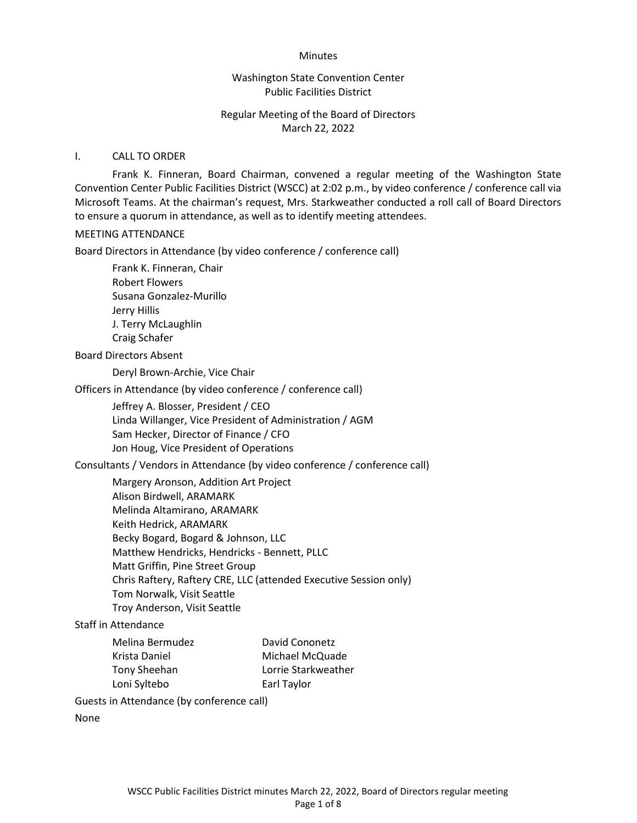#### Minutes

#### Washington State Convention Center Public Facilities District

## Regular Meeting of the Board of Directors March 22, 2022

#### I. CALL TO ORDER

 Frank K. Finneran, Board Chairman, convened a regular meeting of the Washington State Convention Center Public Facilities District (WSCC) at 2:02 p.m., by video conference / conference call via Microsoft Teams. At the chairman's request, Mrs. Starkweather conducted a roll call of Board Directors to ensure a quorum in attendance, as well as to identify meeting attendees.

#### MEETING ATTENDANCE

Board Directors in Attendance (by video conference / conference call)

Frank K. Finneran, Chair Robert Flowers Susana Gonzalez-Murillo Jerry Hillis J. Terry McLaughlin Craig Schafer

#### Board Directors Absent

Deryl Brown-Archie, Vice Chair

Officers in Attendance (by video conference / conference call)

Jeffrey A. Blosser, President / CEO Linda Willanger, Vice President of Administration / AGM Sam Hecker, Director of Finance / CFO Jon Houg, Vice President of Operations

Consultants / Vendors in Attendance (by video conference / conference call)

Margery Aronson, Addition Art Project Alison Birdwell, ARAMARK Melinda Altamirano, ARAMARK Keith Hedrick, ARAMARK Becky Bogard, Bogard & Johnson, LLC Matthew Hendricks, Hendricks - Bennett, PLLC Matt Griffin, Pine Street Group Chris Raftery, Raftery CRE, LLC (attended Executive Session only) Tom Norwalk, Visit Seattle Troy Anderson, Visit Seattle

#### Staff in Attendance

| Melina Bermudez | David Cononetz      |
|-----------------|---------------------|
| Krista Daniel   | Michael McQuade     |
| Tony Sheehan    | Lorrie Starkweather |
| Loni Syltebo    | Earl Taylor         |

Guests in Attendance (by conference call)

None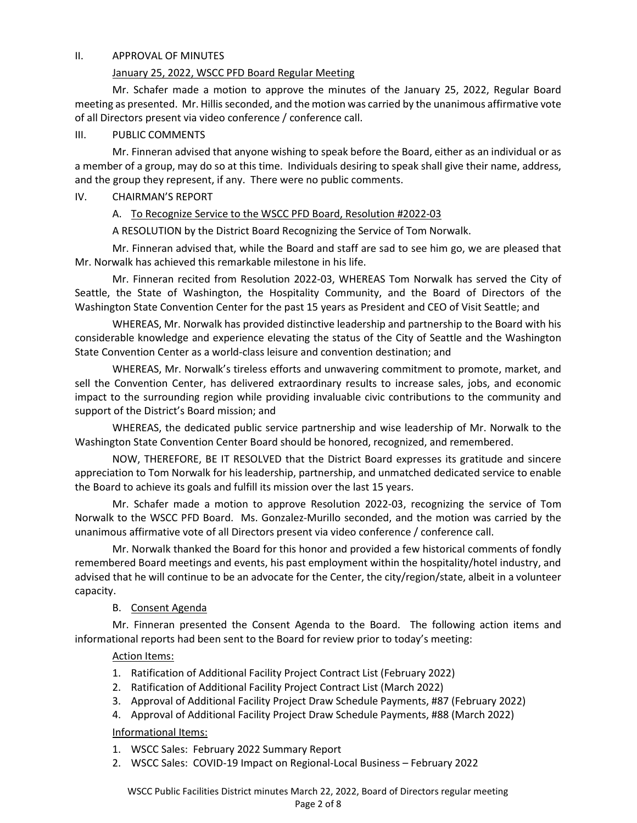#### II. APPROVAL OF MINUTES

### January 25, 2022, WSCC PFD Board Regular Meeting

 Mr. Schafer made a motion to approve the minutes of the January 25, 2022, Regular Board meeting as presented. Mr. Hillis seconded, and the motion was carried by the unanimous affirmative vote of all Directors present via video conference / conference call.

### III. PUBLIC COMMENTS

Mr. Finneran advised that anyone wishing to speak before the Board, either as an individual or as a member of a group, may do so at this time. Individuals desiring to speak shall give their name, address, and the group they represent, if any. There were no public comments.

### IV. CHAIRMAN'S REPORT

# A. To Recognize Service to the WSCC PFD Board, Resolution #2022-03

A RESOLUTION by the District Board Recognizing the Service of Tom Norwalk.

Mr. Finneran advised that, while the Board and staff are sad to see him go, we are pleased that Mr. Norwalk has achieved this remarkable milestone in his life.

Mr. Finneran recited from Resolution 2022-03, WHEREAS Tom Norwalk has served the City of Seattle, the State of Washington, the Hospitality Community, and the Board of Directors of the Washington State Convention Center for the past 15 years as President and CEO of Visit Seattle; and

WHEREAS, Mr. Norwalk has provided distinctive leadership and partnership to the Board with his considerable knowledge and experience elevating the status of the City of Seattle and the Washington State Convention Center as a world-class leisure and convention destination; and

WHEREAS, Mr. Norwalk's tireless efforts and unwavering commitment to promote, market, and sell the Convention Center, has delivered extraordinary results to increase sales, jobs, and economic impact to the surrounding region while providing invaluable civic contributions to the community and support of the District's Board mission; and

WHEREAS, the dedicated public service partnership and wise leadership of Mr. Norwalk to the Washington State Convention Center Board should be honored, recognized, and remembered.

NOW, THEREFORE, BE IT RESOLVED that the District Board expresses its gratitude and sincere appreciation to Tom Norwalk for his leadership, partnership, and unmatched dedicated service to enable the Board to achieve its goals and fulfill its mission over the last 15 years.

Mr. Schafer made a motion to approve Resolution 2022-03, recognizing the service of Tom Norwalk to the WSCC PFD Board. Ms. Gonzalez-Murillo seconded, and the motion was carried by the unanimous affirmative vote of all Directors present via video conference / conference call.

Mr. Norwalk thanked the Board for this honor and provided a few historical comments of fondly remembered Board meetings and events, his past employment within the hospitality/hotel industry, and advised that he will continue to be an advocate for the Center, the city/region/state, albeit in a volunteer capacity.

# B. Consent Agenda

 Mr. Finneran presented the Consent Agenda to the Board. The following action items and informational reports had been sent to the Board for review prior to today's meeting:

# Action Items:

- 1. Ratification of Additional Facility Project Contract List (February 2022)
- 2. Ratification of Additional Facility Project Contract List (March 2022)
- 3. Approval of Additional Facility Project Draw Schedule Payments, #87 (February 2022)
- 4. Approval of Additional Facility Project Draw Schedule Payments, #88 (March 2022)

# Informational Items:

- 1. WSCC Sales: February 2022 Summary Report
- 2. WSCC Sales: COVID-19 Impact on Regional-Local Business February 2022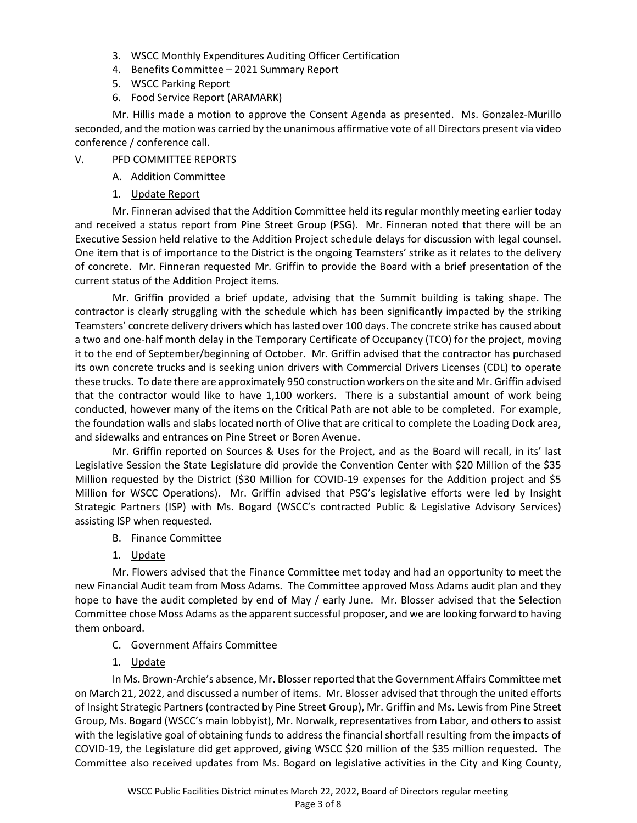- 3. WSCC Monthly Expenditures Auditing Officer Certification
- 4. Benefits Committee 2021 Summary Report
- 5. WSCC Parking Report
- 6. Food Service Report (ARAMARK)

Mr. Hillis made a motion to approve the Consent Agenda as presented. Ms. Gonzalez-Murillo seconded, and the motion was carried by the unanimous affirmative vote of all Directors present via video conference / conference call.

### V. PFD COMMITTEE REPORTS

- A. Addition Committee
- 1. Update Report

Mr. Finneran advised that the Addition Committee held its regular monthly meeting earlier today and received a status report from Pine Street Group (PSG). Mr. Finneran noted that there will be an Executive Session held relative to the Addition Project schedule delays for discussion with legal counsel. One item that is of importance to the District is the ongoing Teamsters' strike as it relates to the delivery of concrete. Mr. Finneran requested Mr. Griffin to provide the Board with a brief presentation of the current status of the Addition Project items.

Mr. Griffin provided a brief update, advising that the Summit building is taking shape. The contractor is clearly struggling with the schedule which has been significantly impacted by the striking Teamsters' concrete delivery drivers which has lasted over 100 days. The concrete strike has caused about a two and one-half month delay in the Temporary Certificate of Occupancy (TCO) for the project, moving it to the end of September/beginning of October. Mr. Griffin advised that the contractor has purchased its own concrete trucks and is seeking union drivers with Commercial Drivers Licenses (CDL) to operate these trucks. To date there are approximately 950 construction workers on the site and Mr. Griffin advised that the contractor would like to have 1,100 workers. There is a substantial amount of work being conducted, however many of the items on the Critical Path are not able to be completed. For example, the foundation walls and slabs located north of Olive that are critical to complete the Loading Dock area, and sidewalks and entrances on Pine Street or Boren Avenue.

Mr. Griffin reported on Sources & Uses for the Project, and as the Board will recall, in its' last Legislative Session the State Legislature did provide the Convention Center with \$20 Million of the \$35 Million requested by the District (\$30 Million for COVID-19 expenses for the Addition project and \$5 Million for WSCC Operations). Mr. Griffin advised that PSG's legislative efforts were led by Insight Strategic Partners (ISP) with Ms. Bogard (WSCC's contracted Public & Legislative Advisory Services) assisting ISP when requested.

- B. Finance Committee
- 1. Update

 Mr. Flowers advised that the Finance Committee met today and had an opportunity to meet the new Financial Audit team from Moss Adams. The Committee approved Moss Adams audit plan and they hope to have the audit completed by end of May / early June. Mr. Blosser advised that the Selection Committee chose Moss Adams as the apparent successful proposer, and we are looking forward to having them onboard.

- C. Government Affairs Committee
- 1. Update

In Ms. Brown-Archie's absence, Mr. Blosser reported that the Government Affairs Committee met on March 21, 2022, and discussed a number of items. Mr. Blosser advised that through the united efforts of Insight Strategic Partners (contracted by Pine Street Group), Mr. Griffin and Ms. Lewis from Pine Street Group, Ms. Bogard (WSCC's main lobbyist), Mr. Norwalk, representatives from Labor, and others to assist with the legislative goal of obtaining funds to address the financial shortfall resulting from the impacts of COVID-19, the Legislature did get approved, giving WSCC \$20 million of the \$35 million requested. The Committee also received updates from Ms. Bogard on legislative activities in the City and King County,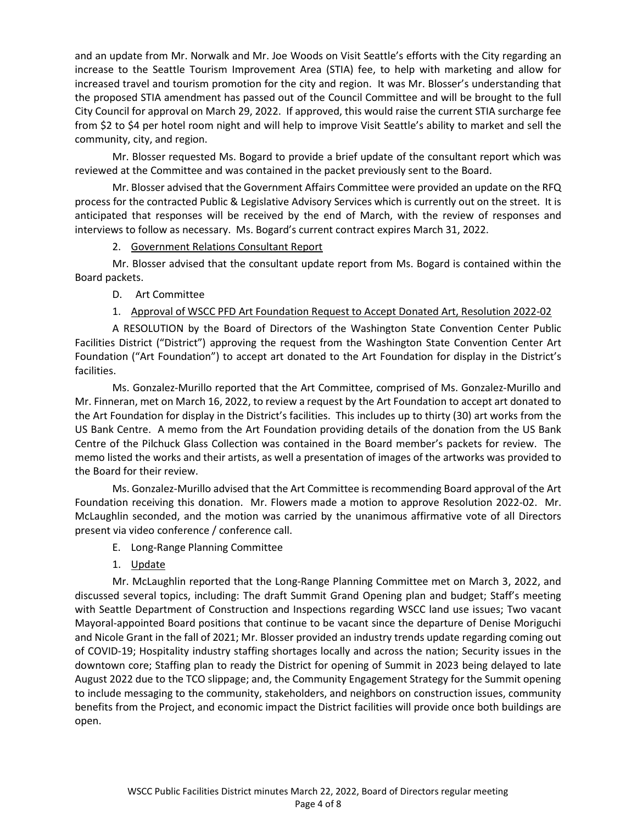and an update from Mr. Norwalk and Mr. Joe Woods on Visit Seattle's efforts with the City regarding an increase to the Seattle Tourism Improvement Area (STIA) fee, to help with marketing and allow for increased travel and tourism promotion for the city and region. It was Mr. Blosser's understanding that the proposed STIA amendment has passed out of the Council Committee and will be brought to the full City Council for approval on March 29, 2022. If approved, this would raise the current STIA surcharge fee from \$2 to \$4 per hotel room night and will help to improve Visit Seattle's ability to market and sell the community, city, and region.

Mr. Blosser requested Ms. Bogard to provide a brief update of the consultant report which was reviewed at the Committee and was contained in the packet previously sent to the Board.

 Mr. Blosser advised that the Government Affairs Committee were provided an update on the RFQ process for the contracted Public & Legislative Advisory Services which is currently out on the street. It is anticipated that responses will be received by the end of March, with the review of responses and interviews to follow as necessary. Ms. Bogard's current contract expires March 31, 2022.

2. Government Relations Consultant Report

Mr. Blosser advised that the consultant update report from Ms. Bogard is contained within the Board packets.

D. Art Committee

# 1. Approval of WSCC PFD Art Foundation Request to Accept Donated Art, Resolution 2022-02

A RESOLUTION by the Board of Directors of the Washington State Convention Center Public Facilities District ("District") approving the request from the Washington State Convention Center Art Foundation ("Art Foundation") to accept art donated to the Art Foundation for display in the District's facilities.

Ms. Gonzalez-Murillo reported that the Art Committee, comprised of Ms. Gonzalez-Murillo and Mr. Finneran, met on March 16, 2022, to review a request by the Art Foundation to accept art donated to the Art Foundation for display in the District's facilities. This includes up to thirty (30) art works from the US Bank Centre. A memo from the Art Foundation providing details of the donation from the US Bank Centre of the Pilchuck Glass Collection was contained in the Board member's packets for review. The memo listed the works and their artists, as well a presentation of images of the artworks was provided to the Board for their review.

Ms. Gonzalez-Murillo advised that the Art Committee is recommending Board approval of the Art Foundation receiving this donation. Mr. Flowers made a motion to approve Resolution 2022-02. Mr. McLaughlin seconded, and the motion was carried by the unanimous affirmative vote of all Directors present via video conference / conference call.

- E. Long-Range Planning Committee
- 1. Update

Mr. McLaughlin reported that the Long-Range Planning Committee met on March 3, 2022, and discussed several topics, including: The draft Summit Grand Opening plan and budget; Staff's meeting with Seattle Department of Construction and Inspections regarding WSCC land use issues; Two vacant Mayoral-appointed Board positions that continue to be vacant since the departure of Denise Moriguchi and Nicole Grant in the fall of 2021; Mr. Blosser provided an industry trends update regarding coming out of COVID-19; Hospitality industry staffing shortages locally and across the nation; Security issues in the downtown core; Staffing plan to ready the District for opening of Summit in 2023 being delayed to late August 2022 due to the TCO slippage; and, the Community Engagement Strategy for the Summit opening to include messaging to the community, stakeholders, and neighbors on construction issues, community benefits from the Project, and economic impact the District facilities will provide once both buildings are open.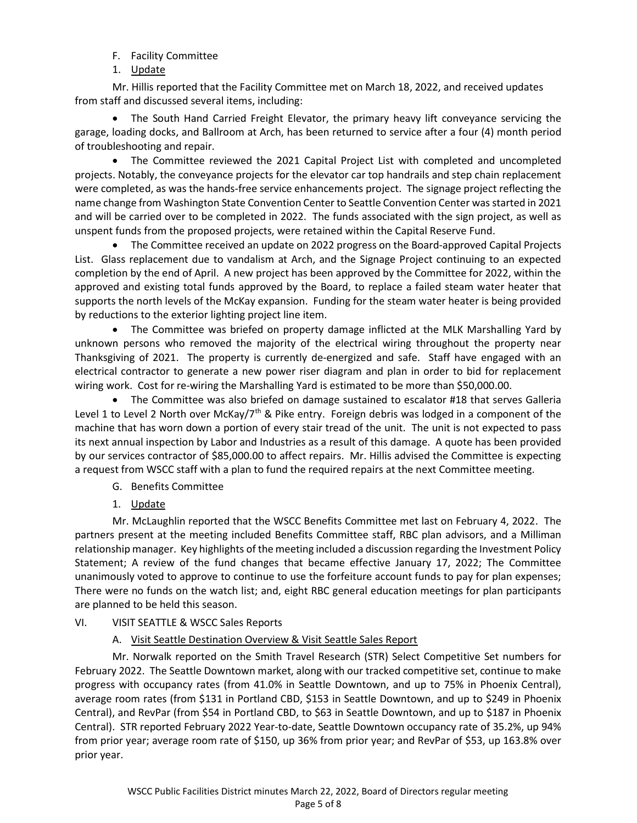- F. Facility Committee
- 1. Update

Mr. Hillis reported that the Facility Committee met on March 18, 2022, and received updates from staff and discussed several items, including:

 The South Hand Carried Freight Elevator, the primary heavy lift conveyance servicing the garage, loading docks, and Ballroom at Arch, has been returned to service after a four (4) month period of troubleshooting and repair.

 The Committee reviewed the 2021 Capital Project List with completed and uncompleted projects. Notably, the conveyance projects for the elevator car top handrails and step chain replacement were completed, as was the hands-free service enhancements project. The signage project reflecting the name change from Washington State Convention Center to Seattle Convention Center was started in 2021 and will be carried over to be completed in 2022. The funds associated with the sign project, as well as unspent funds from the proposed projects, were retained within the Capital Reserve Fund.

• The Committee received an update on 2022 progress on the Board-approved Capital Projects List. Glass replacement due to vandalism at Arch, and the Signage Project continuing to an expected completion by the end of April. A new project has been approved by the Committee for 2022, within the approved and existing total funds approved by the Board, to replace a failed steam water heater that supports the north levels of the McKay expansion. Funding for the steam water heater is being provided by reductions to the exterior lighting project line item.

 The Committee was briefed on property damage inflicted at the MLK Marshalling Yard by unknown persons who removed the majority of the electrical wiring throughout the property near Thanksgiving of 2021. The property is currently de-energized and safe. Staff have engaged with an electrical contractor to generate a new power riser diagram and plan in order to bid for replacement wiring work. Cost for re-wiring the Marshalling Yard is estimated to be more than \$50,000.00.

 The Committee was also briefed on damage sustained to escalator #18 that serves Galleria Level 1 to Level 2 North over McKay/ $7<sup>th</sup>$  & Pike entry. Foreign debris was lodged in a component of the machine that has worn down a portion of every stair tread of the unit. The unit is not expected to pass its next annual inspection by Labor and Industries as a result of this damage. A quote has been provided by our services contractor of \$85,000.00 to affect repairs. Mr. Hillis advised the Committee is expecting a request from WSCC staff with a plan to fund the required repairs at the next Committee meeting.

- G. Benefits Committee
- 1. Update

Mr. McLaughlin reported that the WSCC Benefits Committee met last on February 4, 2022. The partners present at the meeting included Benefits Committee staff, RBC plan advisors, and a Milliman relationship manager. Key highlights of the meeting included a discussion regarding the Investment Policy Statement; A review of the fund changes that became effective January 17, 2022; The Committee unanimously voted to approve to continue to use the forfeiture account funds to pay for plan expenses; There were no funds on the watch list; and, eight RBC general education meetings for plan participants are planned to be held this season.

VI. VISIT SEATTLE & WSCC Sales Reports

A. Visit Seattle Destination Overview & Visit Seattle Sales Report

Mr. Norwalk reported on the Smith Travel Research (STR) Select Competitive Set numbers for February 2022. The Seattle Downtown market, along with our tracked competitive set, continue to make progress with occupancy rates (from 41.0% in Seattle Downtown, and up to 75% in Phoenix Central), average room rates (from \$131 in Portland CBD, \$153 in Seattle Downtown, and up to \$249 in Phoenix Central), and RevPar (from \$54 in Portland CBD, to \$63 in Seattle Downtown, and up to \$187 in Phoenix Central). STR reported February 2022 Year-to-date, Seattle Downtown occupancy rate of 35.2%, up 94% from prior year; average room rate of \$150, up 36% from prior year; and RevPar of \$53, up 163.8% over prior year.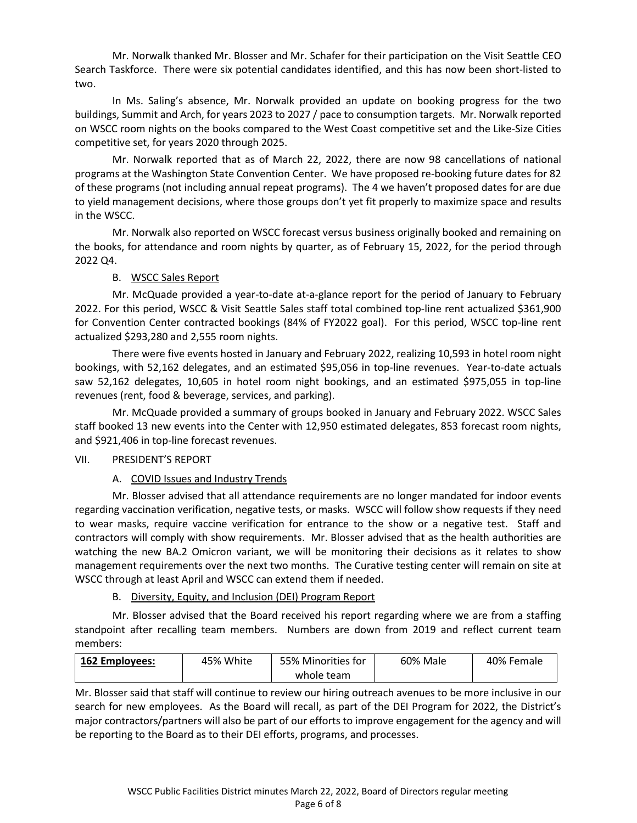Mr. Norwalk thanked Mr. Blosser and Mr. Schafer for their participation on the Visit Seattle CEO Search Taskforce. There were six potential candidates identified, and this has now been short-listed to two.

In Ms. Saling's absence, Mr. Norwalk provided an update on booking progress for the two buildings, Summit and Arch, for years 2023 to 2027 / pace to consumption targets. Mr. Norwalk reported on WSCC room nights on the books compared to the West Coast competitive set and the Like-Size Cities competitive set, for years 2020 through 2025.

Mr. Norwalk reported that as of March 22, 2022, there are now 98 cancellations of national programs at the Washington State Convention Center. We have proposed re-booking future dates for 82 of these programs (not including annual repeat programs). The 4 we haven't proposed dates for are due to yield management decisions, where those groups don't yet fit properly to maximize space and results in the WSCC.

Mr. Norwalk also reported on WSCC forecast versus business originally booked and remaining on the books, for attendance and room nights by quarter, as of February 15, 2022, for the period through 2022 Q4.

# B. WSCC Sales Report

Mr. McQuade provided a year-to-date at-a-glance report for the period of January to February 2022. For this period, WSCC & Visit Seattle Sales staff total combined top-line rent actualized \$361,900 for Convention Center contracted bookings (84% of FY2022 goal). For this period, WSCC top-line rent actualized \$293,280 and 2,555 room nights.

There were five events hosted in January and February 2022, realizing 10,593 in hotel room night bookings, with 52,162 delegates, and an estimated \$95,056 in top-line revenues. Year-to-date actuals saw 52,162 delegates, 10,605 in hotel room night bookings, and an estimated \$975,055 in top-line revenues (rent, food & beverage, services, and parking).

Mr. McQuade provided a summary of groups booked in January and February 2022. WSCC Sales staff booked 13 new events into the Center with 12,950 estimated delegates, 853 forecast room nights, and \$921,406 in top-line forecast revenues.

### VII. PRESIDENT'S REPORT

# A. COVID Issues and Industry Trends

Mr. Blosser advised that all attendance requirements are no longer mandated for indoor events regarding vaccination verification, negative tests, or masks. WSCC will follow show requests if they need to wear masks, require vaccine verification for entrance to the show or a negative test. Staff and contractors will comply with show requirements. Mr. Blosser advised that as the health authorities are watching the new BA.2 Omicron variant, we will be monitoring their decisions as it relates to show management requirements over the next two months. The Curative testing center will remain on site at WSCC through at least April and WSCC can extend them if needed.

# B. Diversity, Equity, and Inclusion (DEI) Program Report

Mr. Blosser advised that the Board received his report regarding where we are from a staffing standpoint after recalling team members. Numbers are down from 2019 and reflect current team members:

| <b>162 Employees:</b> | 45% White | 55% Minorities for | 60% Male | 40% Female |
|-----------------------|-----------|--------------------|----------|------------|
|                       |           | whole team         |          |            |

Mr. Blosser said that staff will continue to review our hiring outreach avenues to be more inclusive in our search for new employees. As the Board will recall, as part of the DEI Program for 2022, the District's major contractors/partners will also be part of our efforts to improve engagement for the agency and will be reporting to the Board as to their DEI efforts, programs, and processes.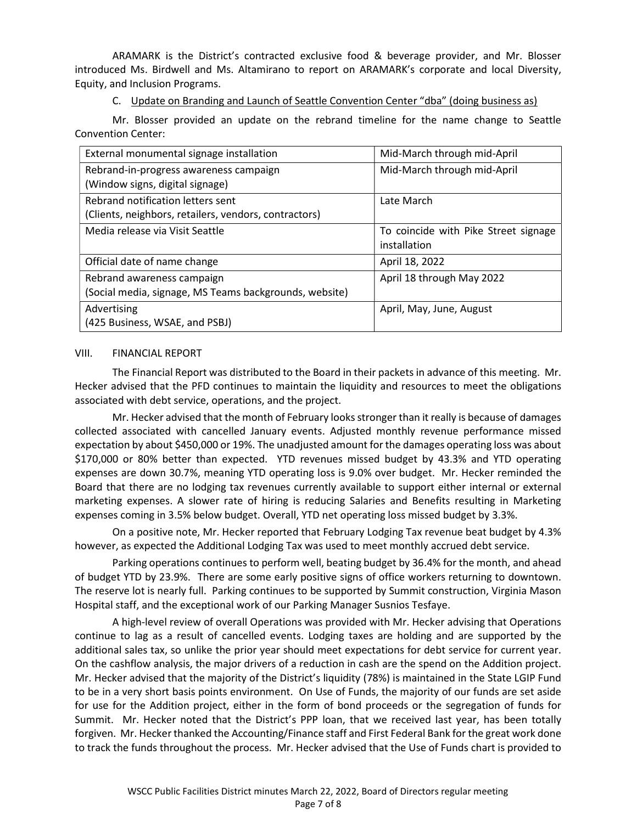ARAMARK is the District's contracted exclusive food & beverage provider, and Mr. Blosser introduced Ms. Birdwell and Ms. Altamirano to report on ARAMARK's corporate and local Diversity, Equity, and Inclusion Programs.

C. Update on Branding and Launch of Seattle Convention Center "dba" (doing business as)

Mr. Blosser provided an update on the rebrand timeline for the name change to Seattle Convention Center:

| External monumental signage installation               | Mid-March through mid-April          |
|--------------------------------------------------------|--------------------------------------|
| Rebrand-in-progress awareness campaign                 | Mid-March through mid-April          |
| (Window signs, digital signage)                        |                                      |
| Rebrand notification letters sent                      | Late March                           |
| (Clients, neighbors, retailers, vendors, contractors)  |                                      |
| Media release via Visit Seattle                        | To coincide with Pike Street signage |
|                                                        | installation                         |
| Official date of name change                           | April 18, 2022                       |
| Rebrand awareness campaign                             | April 18 through May 2022            |
| (Social media, signage, MS Teams backgrounds, website) |                                      |
| Advertising                                            | April, May, June, August             |
| (425 Business, WSAE, and PSBJ)                         |                                      |

#### VIII. FINANCIAL REPORT

The Financial Report was distributed to the Board in their packets in advance of this meeting. Mr. Hecker advised that the PFD continues to maintain the liquidity and resources to meet the obligations associated with debt service, operations, and the project.

Mr. Hecker advised that the month of February looks stronger than it really is because of damages collected associated with cancelled January events. Adjusted monthly revenue performance missed expectation by about \$450,000 or 19%. The unadjusted amount for the damages operating loss was about \$170,000 or 80% better than expected. YTD revenues missed budget by 43.3% and YTD operating expenses are down 30.7%, meaning YTD operating loss is 9.0% over budget. Mr. Hecker reminded the Board that there are no lodging tax revenues currently available to support either internal or external marketing expenses. A slower rate of hiring is reducing Salaries and Benefits resulting in Marketing expenses coming in 3.5% below budget. Overall, YTD net operating loss missed budget by 3.3%.

On a positive note, Mr. Hecker reported that February Lodging Tax revenue beat budget by 4.3% however, as expected the Additional Lodging Tax was used to meet monthly accrued debt service.

Parking operations continues to perform well, beating budget by 36.4% for the month, and ahead of budget YTD by 23.9%. There are some early positive signs of office workers returning to downtown. The reserve lot is nearly full. Parking continues to be supported by Summit construction, Virginia Mason Hospital staff, and the exceptional work of our Parking Manager Susnios Tesfaye.

A high-level review of overall Operations was provided with Mr. Hecker advising that Operations continue to lag as a result of cancelled events. Lodging taxes are holding and are supported by the additional sales tax, so unlike the prior year should meet expectations for debt service for current year. On the cashflow analysis, the major drivers of a reduction in cash are the spend on the Addition project. Mr. Hecker advised that the majority of the District's liquidity (78%) is maintained in the State LGIP Fund to be in a very short basis points environment. On Use of Funds, the majority of our funds are set aside for use for the Addition project, either in the form of bond proceeds or the segregation of funds for Summit. Mr. Hecker noted that the District's PPP loan, that we received last year, has been totally forgiven. Mr. Hecker thanked the Accounting/Finance staff and First Federal Bank for the great work done to track the funds throughout the process. Mr. Hecker advised that the Use of Funds chart is provided to